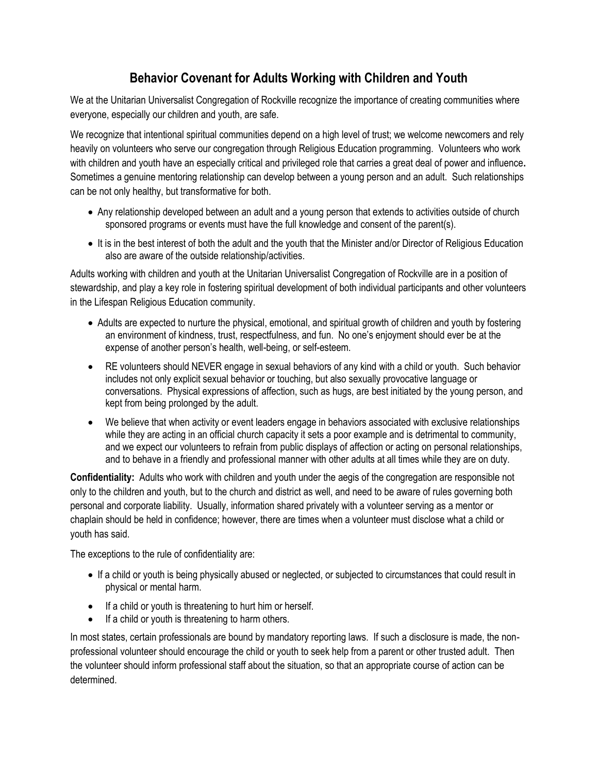## **Behavior Covenant for Adults Working with Children and Youth**

We at the Unitarian Universalist Congregation of Rockville recognize the importance of creating communities where everyone, especially our children and youth, are safe.

We recognize that intentional spiritual communities depend on a high level of trust; we welcome newcomers and rely heavily on volunteers who serve our congregation through Religious Education programming. Volunteers who work with children and youth have an especially critical and privileged role that carries a great deal of power and influence**.** Sometimes a genuine mentoring relationship can develop between a young person and an adult. Such relationships can be not only healthy, but transformative for both.

- Any relationship developed between an adult and a young person that extends to activities outside of church sponsored programs or events must have the full knowledge and consent of the parent(s).
- It is in the best interest of both the adult and the youth that the Minister and/or Director of Religious Education also are aware of the outside relationship/activities.

Adults working with children and youth at the Unitarian Universalist Congregation of Rockville are in a position of stewardship, and play a key role in fostering spiritual development of both individual participants and other volunteers in the Lifespan Religious Education community.

- Adults are expected to nurture the physical, emotional, and spiritual growth of children and youth by fostering an environment of kindness, trust, respectfulness, and fun. No one's enjoyment should ever be at the expense of another person's health, well-being, or self-esteem.
- RE volunteers should NEVER engage in sexual behaviors of any kind with a child or youth. Such behavior includes not only explicit sexual behavior or touching, but also sexually provocative language or conversations. Physical expressions of affection, such as hugs, are best initiated by the young person, and kept from being prolonged by the adult.
- We believe that when activity or event leaders engage in behaviors associated with exclusive relationships while they are acting in an official church capacity it sets a poor example and is detrimental to community, and we expect our volunteers to refrain from public displays of affection or acting on personal relationships, and to behave in a friendly and professional manner with other adults at all times while they are on duty.

**Confidentiality:** Adults who work with children and youth under the aegis of the congregation are responsible not only to the children and youth, but to the church and district as well, and need to be aware of rules governing both personal and corporate liability. Usually, information shared privately with a volunteer serving as a mentor or chaplain should be held in confidence; however, there are times when a volunteer must disclose what a child or youth has said.

The exceptions to the rule of confidentiality are:

- If a child or youth is being physically abused or neglected, or subjected to circumstances that could result in physical or mental harm.
- If a child or youth is threatening to hurt him or herself.
- If a child or youth is threatening to harm others.

In most states, certain professionals are bound by mandatory reporting laws. If such a disclosure is made, the nonprofessional volunteer should encourage the child or youth to seek help from a parent or other trusted adult. Then the volunteer should inform professional staff about the situation, so that an appropriate course of action can be determined.